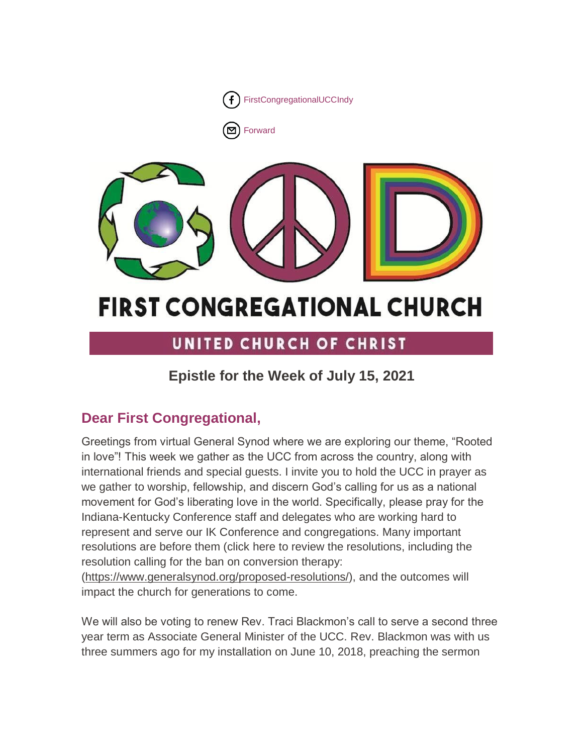

[Forward](http://us16.forward-to-friend.com/forward?u=7a2e4c501545b6d78729a64a1&id=cd170f240e&e=%5bUNIQID%5d)



# **FIRST CONGREGATIONAL CHURCH**

# UNITED CHURCH OF CHRIST

# **Epistle for the Week of July 15, 2021**

# **Dear First Congregational,**

Greetings from virtual General Synod where we are exploring our theme, "Rooted in love"! This week we gather as the UCC from across the country, along with international friends and special guests. I invite you to hold the UCC in prayer as we gather to worship, fellowship, and discern God's calling for us as a national movement for God's liberating love in the world. Specifically, please pray for the Indiana-Kentucky Conference staff and delegates who are working hard to represent and serve our IK Conference and congregations. Many important resolutions are before them (click here to review the resolutions, including the resolution calling for the ban on conversion therapy:

[\(https://www.generalsynod.org/proposed-resolutions/\)](https://www.generalsynod.org/proposed-resolutions/), and the outcomes will impact the church for generations to come.

We will also be voting to renew Rev. Traci Blackmon's call to serve a second three year term as Associate General Minister of the UCC. Rev. Blackmon was with us three summers ago for my installation on June 10, 2018, preaching the sermon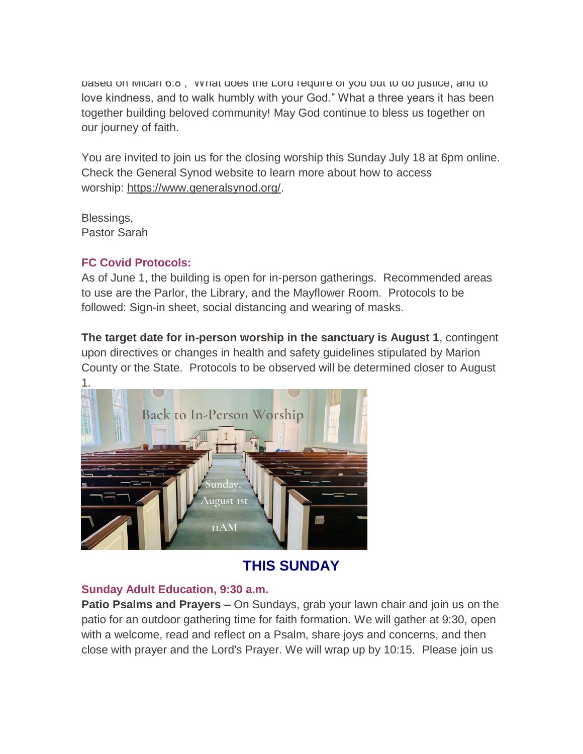based on Micah 6:8 , "What does the Lord require of you but to do justice, and to love kindness, and to walk humbly with your God." What a three years it has been together building beloved community! May God continue to bless us together on our journey of faith.

You are invited to join us for the closing worship this Sunday July 18 at 6pm online. Check the General Synod website to learn more about how to access worship: [https://www.generalsynod.org/.](https://www.generalsynod.org/)

Blessings, Pastor Sarah

#### **FC Covid Protocols:**

As of June 1, the building is open for in-person gatherings. Recommended areas to use are the Parlor, the Library, and the Mayflower Room. Protocols to be followed: Sign-in sheet, social distancing and wearing of masks.

**The target date for in-person worship in the sanctuary is August 1**, contingent upon directives or changes in health and safety guidelines stipulated by Marion County or the State. Protocols to be observed will be determined closer to August



## **THIS SUNDAY**

#### **Sunday Adult Education, 9:30 a.m.**

**Patio Psalms and Prayers –** On Sundays, grab your lawn chair and join us on the patio for an outdoor gathering time for faith formation. We will gather at 9:30, open with a welcome, read and reflect on a Psalm, share joys and concerns, and then close with prayer and the Lord's Prayer. We will wrap up by 10:15. Please join us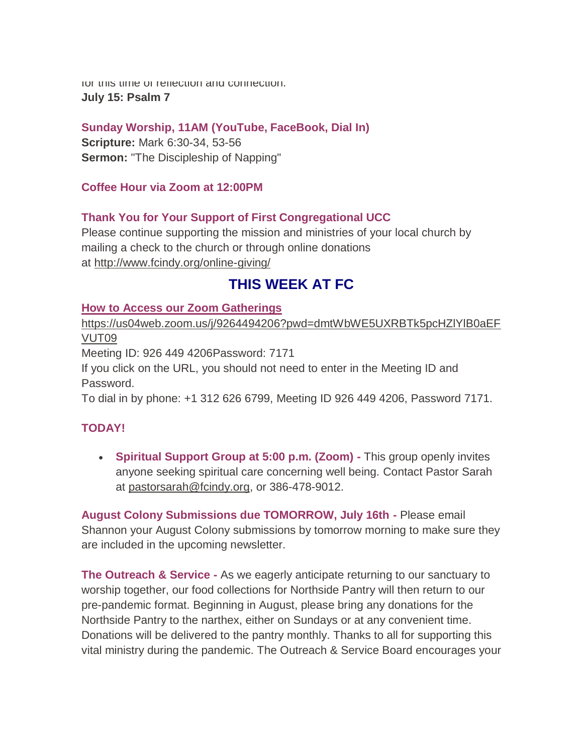for this time of reflection and connection. **July 15: Psalm 7**

**Sunday Worship, 11AM (YouTube, FaceBook, Dial In)**

**Scripture:** Mark 6:30-34, 53-56 **Sermon:** "The Discipleship of Napping"

**Coffee Hour via Zoom at 12:00PM**

#### **Thank You for Your Support of First Congregational UCC**

Please continue supporting the mission and ministries of your local church by mailing a check to the church or through online donations at <http://www.fcindy.org/online-giving/>

## **THIS WEEK AT FC**

#### **How to Access our Zoom Gatherings**

[https://us04web.zoom.us/j/9264494206?pwd=dmtWbWE5UXRBTk5pcHZlYlB0aEF](https://us04web.zoom.us/j/9264494206?pwd=dmtWbWE5UXRBTk5pcHZlYlB0aEFVUT09) [VUT09](https://us04web.zoom.us/j/9264494206?pwd=dmtWbWE5UXRBTk5pcHZlYlB0aEFVUT09)

Meeting ID: 926 449 4206Password: 7171

If you click on the URL, you should not need to enter in the Meeting ID and Password.

To dial in by phone: +1 312 626 6799, Meeting ID 926 449 4206, Password 7171.

#### **TODAY!**

 **Spiritual Support Group at 5:00 p.m. (Zoom) -** This group openly invites anyone seeking spiritual care concerning well being. Contact Pastor Sarah at [pastorsarah@fcindy.org,](mailto:pastorsarah@fcindy.org) or 386-478-9012.

**August Colony Submissions due TOMORROW, July 16th -** Please email Shannon your August Colony submissions by tomorrow morning to make sure they are included in the upcoming newsletter.

**The Outreach & Service -** As we eagerly anticipate returning to our sanctuary to worship together, our food collections for Northside Pantry will then return to our pre-pandemic format. Beginning in August, please bring any donations for the Northside Pantry to the narthex, either on Sundays or at any convenient time. Donations will be delivered to the pantry monthly. Thanks to all for supporting this vital ministry during the pandemic. The Outreach & Service Board encourages your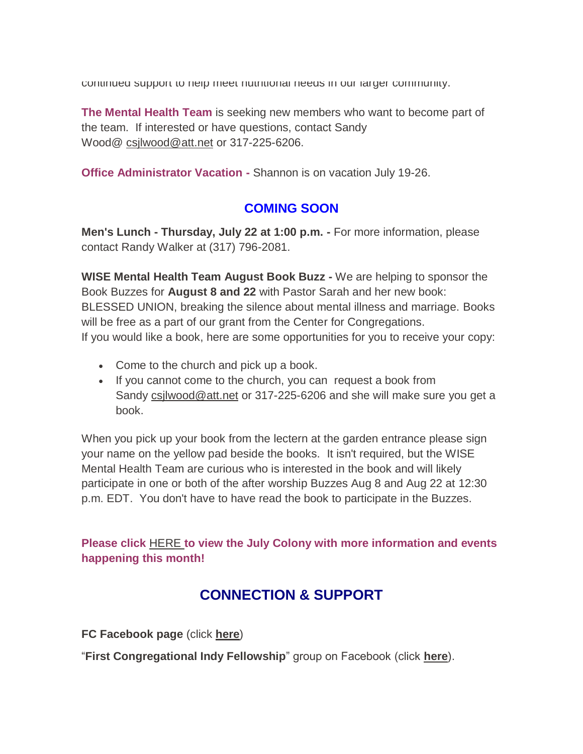continued support to help meet nutritional needs in our larger community.

**The Mental Health Team** is seeking new members who want to become part of the team. If interested or have questions, contact Sandy Wood@ [csjlwood@att.net](mailto:csjlwood@att.net) or 317-225-6206.

**Office Administrator Vacation -** Shannon is on vacation July 19-26.

#### **COMING SOON**

**Men's Lunch - Thursday, July 22 at 1:00 p.m. -** For more information, please contact Randy Walker at (317) 796-2081.

**WISE Mental Health Team August Book Buzz -** We are helping to sponsor the Book Buzzes for **August 8 and 22** with Pastor Sarah and her new book: BLESSED UNION, breaking the silence about mental illness and marriage. Books will be free as a part of our grant from the Center for Congregations. If you would like a book, here are some opportunities for you to receive your copy:

- Come to the church and pick up a book.
- If you cannot come to the church, you can request a book from Sandy [csjlwood@att.net](mailto:csjlwood@att.net) or 317-225-6206 and she will make sure you get a book.

When you pick up your book from the lectern at the garden entrance please sign your name on the yellow pad beside the books. It isn't required, but the WISE Mental Health Team are curious who is interested in the book and will likely participate in one or both of the after worship Buzzes Aug 8 and Aug 22 at 12:30 p.m. EDT. You don't have to have read the book to participate in the Buzzes.

**Please click** [HERE](https://mcusercontent.com/7a2e4c501545b6d78729a64a1/files/d48f69d7-e688-a3ac-b0c2-00c4dfd79cda/June_Colony_2021.01.pdf) **[t](https://mcusercontent.com/7a2e4c501545b6d78729a64a1/files/d48f69d7-e688-a3ac-b0c2-00c4dfd79cda/June_Colony_2021.01.pdf)o view the July Colony with more information and events happening this month!**

### **CONNECTION & SUPPORT**

**FC Facebook page** (click **[here](https://www.facebook.com/FirstCongregationalUCCIndy/)**)

"**First Congregational Indy Fellowship**" group on Facebook (click **[here](https://www.facebook.com/groups/521333455186422/)**).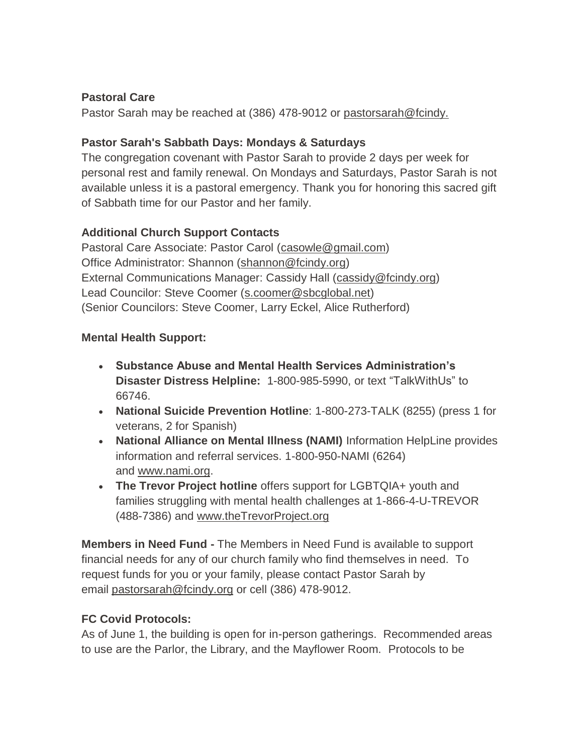#### **Pastoral Care**

Pastor Sarah may be reached at (386) 478-9012 or [pastorsarah@fcindy.](mailto:pastorsarah@fcindy.org)

#### **Pastor Sarah's Sabbath Days: Mondays & Saturdays**

The congregation covenant with Pastor Sarah to provide 2 days per week for personal rest and family renewal. On Mondays and Saturdays, Pastor Sarah is not available unless it is a pastoral emergency. Thank you for honoring this sacred gift of Sabbath time for our Pastor and her family.

#### **Additional Church Support Contacts**

Pastoral Care Associate: Pastor Carol [\(casowle@gmail.com\)](mailto:casowle@gmail.com) Office Administrator: Shannon [\(shannon@fcindy.org\)](mailto:shannon@fcindy.org) External Communications Manager: Cassidy Hall [\(cassidy@fcindy.org\)](mailto:cassidy@fcindy.org) Lead Councilor: Steve Coomer [\(s.coomer@sbcglobal.net\)](mailto:s.coomer@sbcglobal.net) (Senior Councilors: Steve Coomer, Larry Eckel, Alice Rutherford)

#### **Mental Health Support:**

- **Substance Abuse and Mental Health Services Administration's Disaster Distress Helpline:** 1-800-985-5990, or text "TalkWithUs" to 66746.
- **National Suicide Prevention Hotline**: 1-800-273-TALK (8255) (press 1 for veterans, 2 for Spanish)
- **National Alliance on Mental Illness (NAMI)** Information HelpLine provides information and referral services. 1-800-950-NAMI (6264) and [www.nami.org.](http://www.nami.org/)
- **The Trevor Project hotline** offers support for LGBTQIA+ youth and families struggling with mental health challenges at 1-866-4-U-TREVOR (488-7386) and [www.theTrevorProject.org](http://www.thetrevorproject.org/)

**Members in Need Fund -** The Members in Need Fund is available to support financial needs for any of our church family who find themselves in need. To request funds for you or your family, please contact Pastor Sarah by email [pastorsarah@fcindy.org](mailto:pastorsarah@fcindy.org) or cell (386) 478-9012.

#### **FC Covid Protocols:**

As of June 1, the building is open for in-person gatherings. Recommended areas to use are the Parlor, the Library, and the Mayflower Room. Protocols to be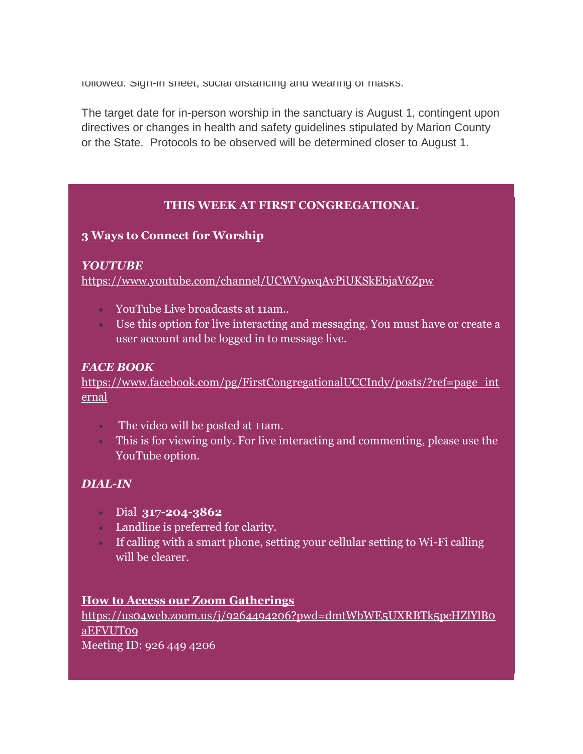followed: Sign-in sheet, social distancing and wearing of masks.

The target date for in-person worship in the sanctuary is August 1, contingent upon directives or changes in health and safety guidelines stipulated by Marion County or the State. Protocols to be observed will be determined closer to August 1.

#### **THIS WEEK AT FIRST CONGREGATIONAL**

#### **3 Ways to Connect for Worship**

#### *YOUTUBE*

<https://www.youtube.com/channel/UCWV9wqAvPiUKSkEbjaV6Zpw>

- YouTube Live broadcasts at 11am..
- Use this option for live interacting and messaging. You must have or create a user account and be logged in to message live.

#### *FACE BOOK*

[https://www.facebook.com/pg/FirstCongregationalUCCIndy/posts/?ref=page\\_int](https://www.facebook.com/pg/FirstCongregationalUCCIndy/posts/?ref=page_internal) [ernal](https://www.facebook.com/pg/FirstCongregationalUCCIndy/posts/?ref=page_internal)

- The video will be posted at 11am.
- This is for viewing only. For live interacting and commenting, please use the YouTube option.

#### *DIAL-IN*

- Dial **317-204-3862**
- Landline is preferred for clarity.
- If calling with a smart phone, setting your cellular setting to Wi-Fi calling will be clearer.

#### **How to Access our Zoom Gatherings**

[https://us04web.zoom.us/j/9264494206?pwd=dmtWbWE5UXRBTk5pcHZlYlB0](https://us04web.zoom.us/j/9264494206?pwd=dmtWbWE5UXRBTk5pcHZlYlB0aEFVUT09) [aEFVUT09](https://us04web.zoom.us/j/9264494206?pwd=dmtWbWE5UXRBTk5pcHZlYlB0aEFVUT09)

Meeting ID: 926 449 4206